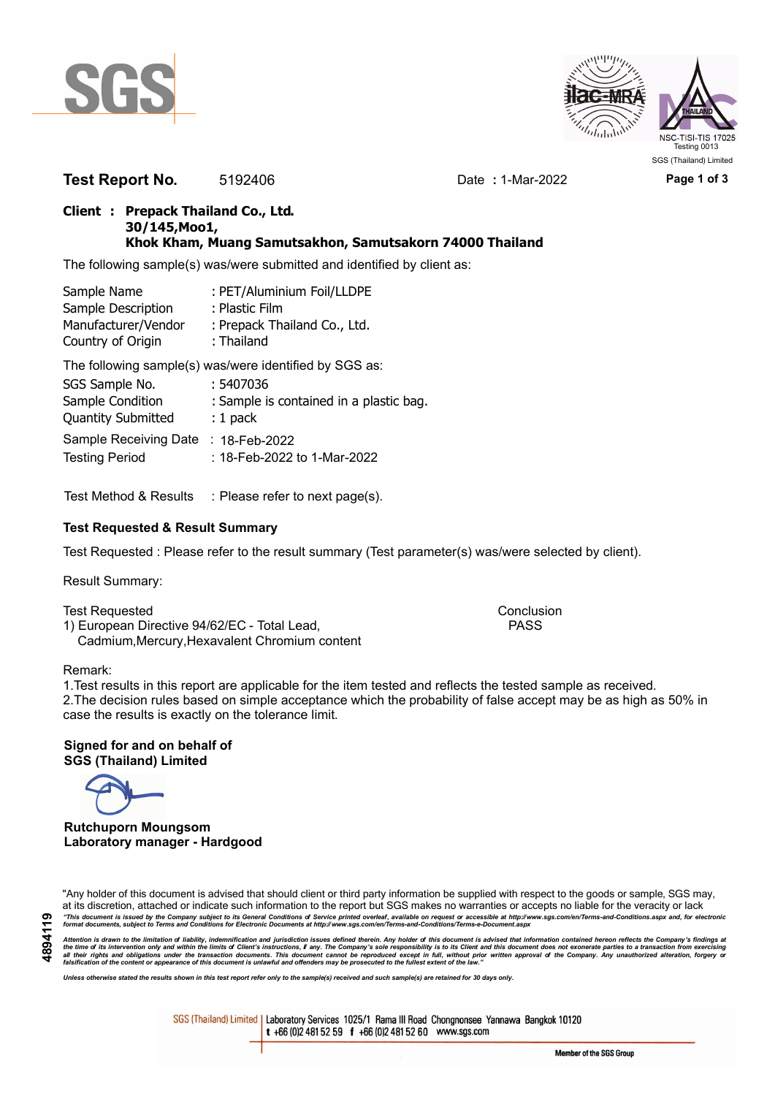



**Test Report No.** 5192406 Date **:** 1-Mar-2022 **Page 1 of 3**

## **Client : Prepack Thailand Co., Ltd. 30/145,Moo1, Khok Kham, Muang Samutsakhon, Samutsakorn 74000 Thailand**

The following sample(s) was/were submitted and identified by client as:

| Sample Name         | : PET/Aluminium Foil/LLDPE   |
|---------------------|------------------------------|
| Sample Description  | : Plastic Film               |
| Manufacturer/Vendor | : Prepack Thailand Co., Ltd. |
| Country of Origin   | : Thailand                   |

The following sample(s) was/were identified by SGS as:

| SGS Sample No.            | : 5407036                               |
|---------------------------|-----------------------------------------|
| Sample Condition          | : Sample is contained in a plastic bag. |
| <b>Quantity Submitted</b> | $: 1$ pack                              |
| Sample Receiving Date     | $: 18$ -Feb-2022                        |
| <b>Testing Period</b>     | : 18-Feb-2022 to 1-Mar-2022             |

Test Method & Results : Please refer to next page(s).

## **Test Requested & Result Summary**

Test Requested : Please refer to the result summary (Test parameter(s) was/were selected by client).

Result Summary:

Test Requested **Conclusion** Conclusion 1) European Directive 94/62/EC - Total Lead, PASS Cadmium,Mercury,Hexavalent Chromium content

#### Remark:

1.Test results in this report are applicable for the item tested and reflects the tested sample as received. 2.The decision rules based on simple acceptance which the probability of false accept may be as high as 50% in case the results is exactly on the tolerance limit.

**Signed for and on behalf of SGS (Thailand) Limited**

**Rutchuporn Moungsom Laboratory manager - Hardgood**

"Any holder of this document is advised that should client or third party information be supplied with respect to the goods or sample, SGS may, at its discretion, attached or indicate such information to the report but SGS makes no warranties or accepts no liable for the veracity or lack "This document is issued by the Company subject to its General Conditions of Service printed overleaf, available on request or accessible at http://www.sgs.com/en/Terms-and-Conditions.aspx and, for electronic<br>format docume

Attention is drawn to the limitation of liability, indemnification and jurisdiction issues defined therein. Any holder of this document is advised that information contained hereon reflects the Company's findings at<br>all th

*Unless otherwise stated the results shown in this test report refer only to the sample(s) received and such sample(s) are retained for 30 days only.*

SGS (Thailand) Limited | Laboratory Services 1025/1 Rama III Road Chongnonsee Yannawa Bangkok 10120 t +66 (0)2 481 52 59 f +66 (0)2 481 52 60 www.sgs.com

Member of the SGS Group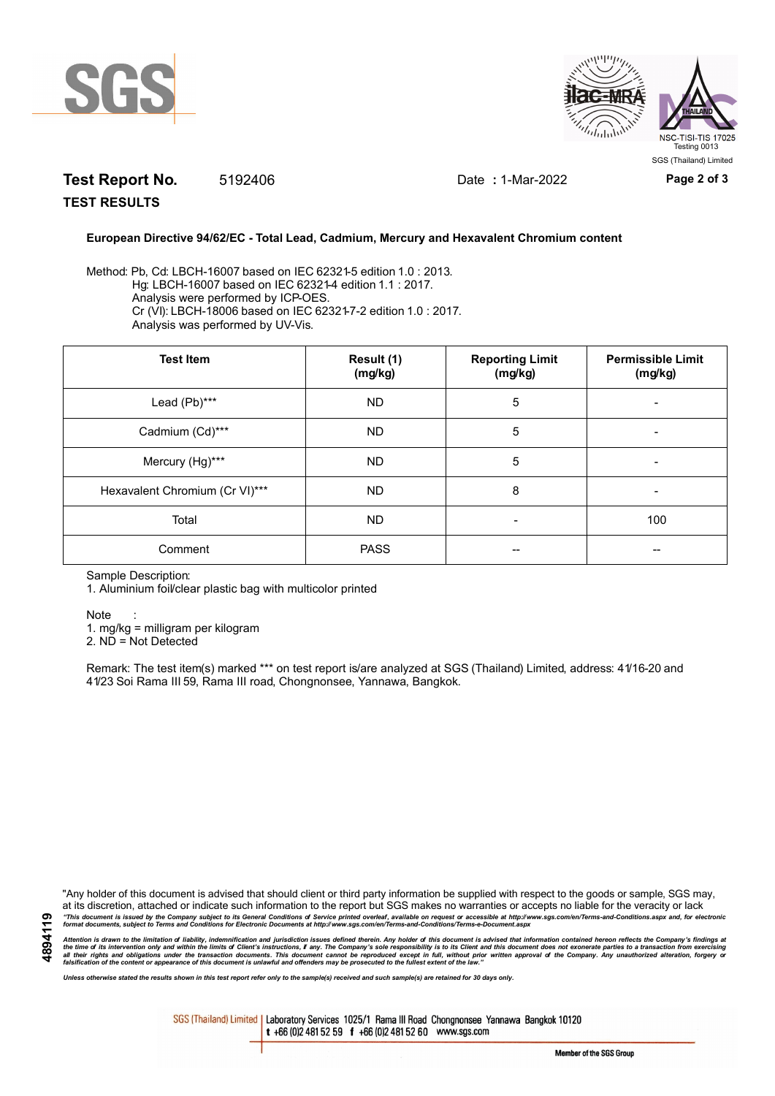



# **Test Report No.** 5192406 Date **:** 1-Mar-2022 **Page 2 of 3**

**TEST RESULTS**

### **European Directive 94/62/EC - Total Lead, Cadmium, Mercury and Hexavalent Chromium content**

Method: Pb, Cd: LBCH-16007 based on IEC 62321-5 edition 1.0 : 2013. Hg: LBCH-16007 based on IEC 62321-4 edition 1.1 : 2017. Analysis were performed by ICP-OES. Cr (VI): LBCH-18006 based on IEC 62321-7-2 edition 1.0 : 2017. Analysis was performed by UV-Vis.

| <b>Test Item</b>               | Result (1)<br>(mg/kg) | <b>Reporting Limit</b><br>(mg/kg) | <b>Permissible Limit</b><br>(mg/kg) |
|--------------------------------|-----------------------|-----------------------------------|-------------------------------------|
| Lead (Pb)***                   | <b>ND</b>             | 5                                 |                                     |
| Cadmium (Cd)***                | <b>ND</b>             | 5                                 |                                     |
| Mercury (Hg)***                | <b>ND</b>             | 5                                 |                                     |
| Hexavalent Chromium (Cr VI)*** | <b>ND</b>             | 8                                 |                                     |
| Total                          | <b>ND</b>             | $\overline{\phantom{a}}$          | 100                                 |
| Comment                        | <b>PASS</b>           |                                   |                                     |

Sample Description:

1. Aluminium foil/clear plastic bag with multicolor printed

Note :

1. mg/kg = milligram per kilogram

2. ND = Not Detected

Remark: The test item(s) marked \*\*\* on test report is/are analyzed at SGS (Thailand) Limited, address: 41/16-20 and 41/23 Soi Rama III 59, Rama III road, Chongnonsee, Yannawa, Bangkok.

"Any holder of this document is advised that should client or third party information be supplied with respect to the goods or sample, SGS may, at its discretion, attached or indicate such information to the report but SGS makes no warranties or accepts no liable for the veracity or lack "This document is issued by the Company subject to its General Conditions of Service printed overleaf, available on request or accessible at http://www.sgs.com/en/Terms-and-Conditions.aspx and, for electronic<br>format docume

Attention is drawn to the limitation of liability, indemnification and jurisdiction issues defined therein. Any holder of this document is advised that information contained hereon reflects the Company's findings at<br>all th

*Unless otherwise stated the results shown in this test report refer only to the sample(s) received and such sample(s) are retained for 30 days only.*

SGS (Thailand) Limited | Laboratory Services 1025/1 Rama III Road Chongnonsee Yannawa Bangkok 10120 t +66 (0)2 481 52 59 f +66 (0)2 481 52 60 www.sgs.com